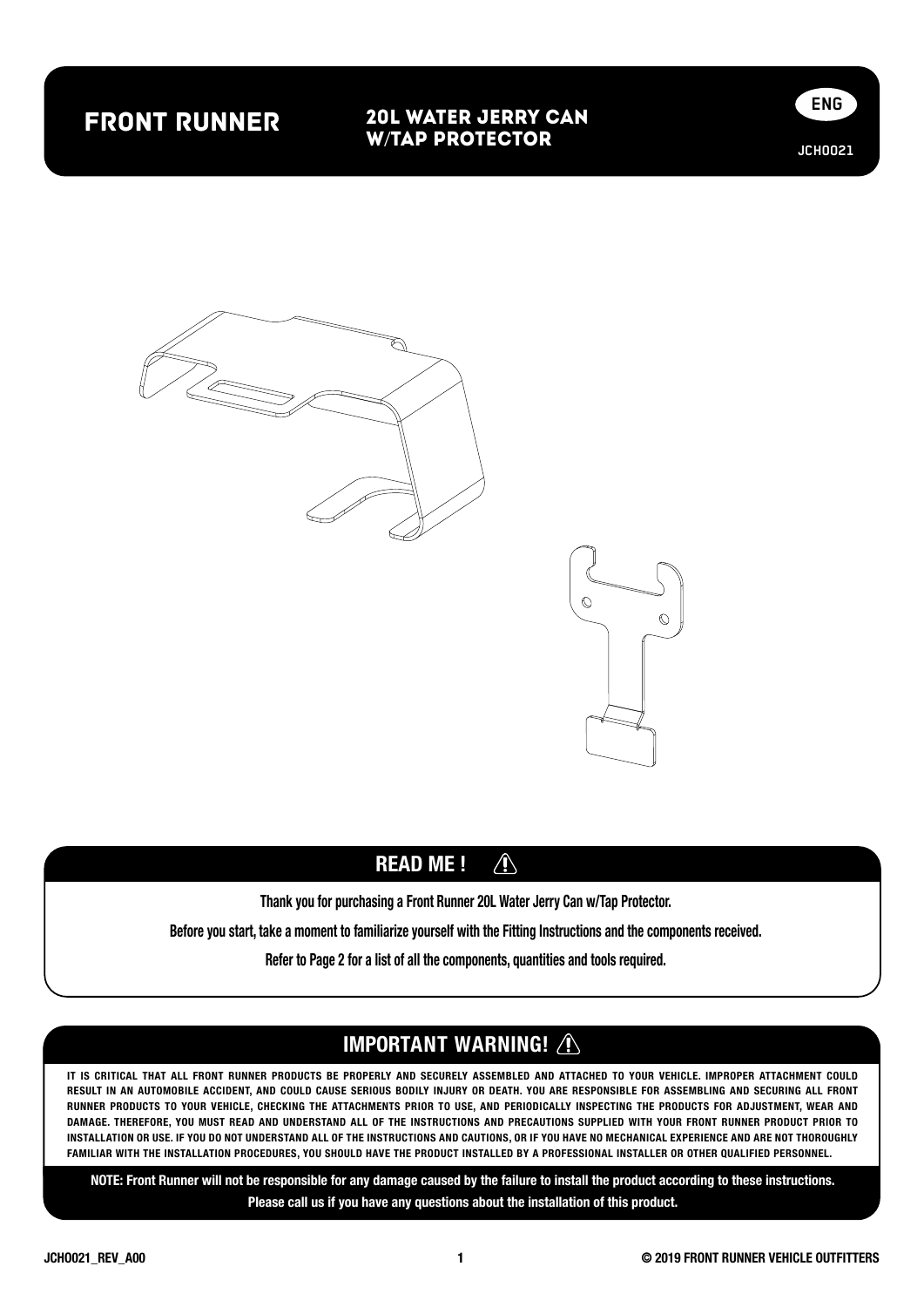# front runner

## 20L Water Jerry Can w/Tap Protector







#### $\bigwedge$ READ ME !

Thank you for purchasing a Front Runner 20L Water Jerry Can w/Tap Protector.

Before you start, take a moment to familiarize yourself with the Fitting Instructions and the components received.

Refer to Page 2 for a list of all the components, quantities and tools required.

## IMPORTANT WARNING! A

IT IS CRITICAL THAT ALL FRONT RUNNER PRODUCTS BE PROPERLY AND SECURELY ASSEMBLED AND ATTACHED TO YOUR VEHICLE. IMPROPER ATTACHMENT COULD RESULT IN AN AUTOMOBILE ACCIDENT, AND COULD CAUSE SERIOUS BODILY INJURY OR DEATH. YOU ARE RESPONSIBLE FOR ASSEMBLING AND SECURING ALL FRONT RUNNER PRODUCTS TO YOUR VEHICLE, CHECKING THE ATTACHMENTS PRIOR TO USE, AND PERIODICALLY INSPECTING THE PRODUCTS FOR ADJUSTMENT, WEAR AND DAMAGE. THEREFORE, YOU MUST READ AND UNDERSTAND ALL OF THE INSTRUCTIONS AND PRECAUTIONS SUPPLIED WITH YOUR FRONT RUNNER PRODUCT PRIOR TO INSTALLATION OR USE. IF YOU DO NOT UNDERSTAND ALL OF THE INSTRUCTIONS AND CAUTIONS, OR IF YOU HAVE NO MECHANICAL EXPERIENCE AND ARE NOT THOROUGHLY FAMILIAR WITH THE INSTALLATION PROCEDURES, YOU SHOULD HAVE THE PRODUCT INSTALLED BY A PROFESSIONAL INSTALLER OR OTHER QUALIFIED PERSONNEL.

NOTE: Front Runner will not be responsible for any damage caused by the failure to install the product according to these instructions. Please call us if you have any questions about the installation of this product.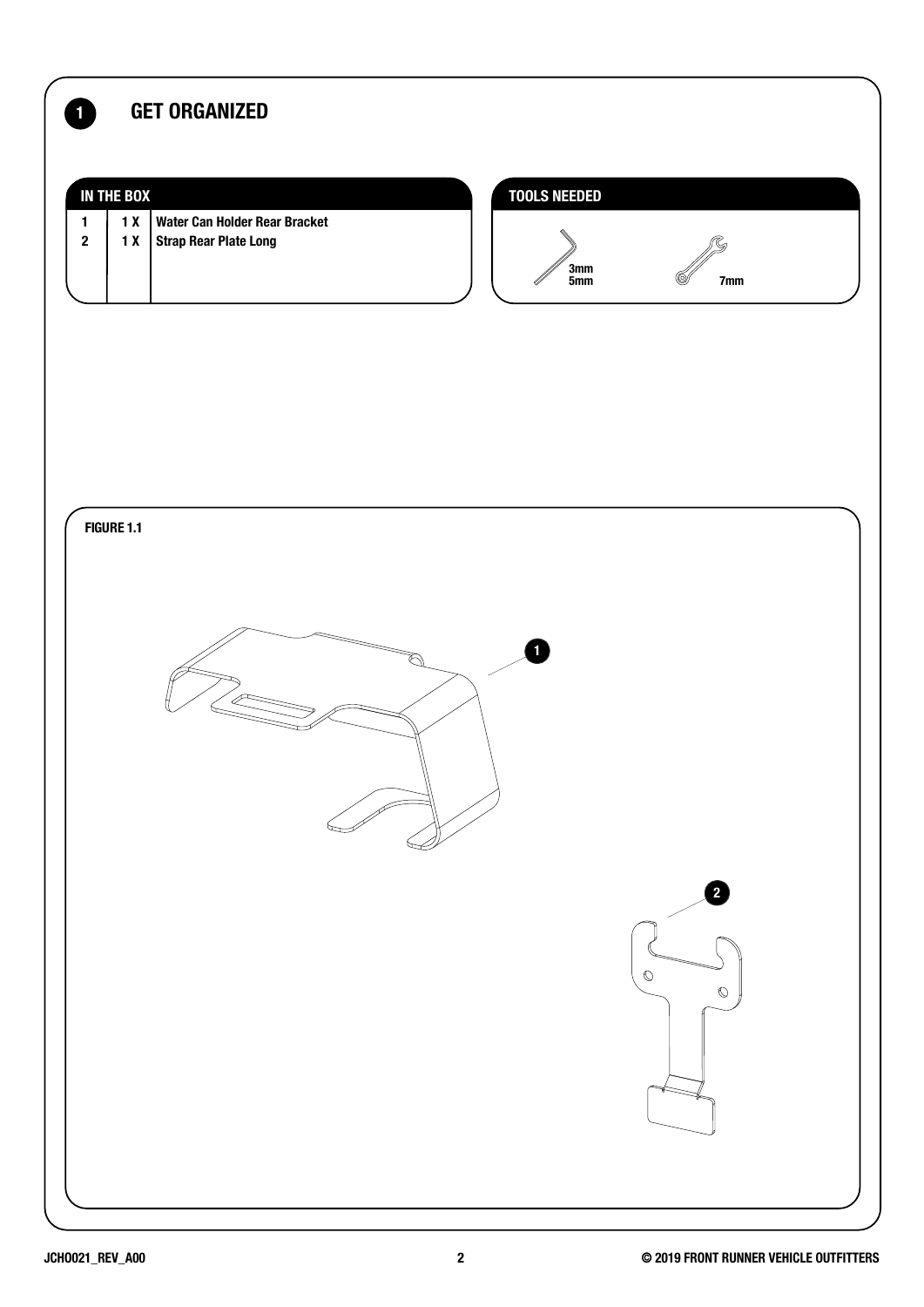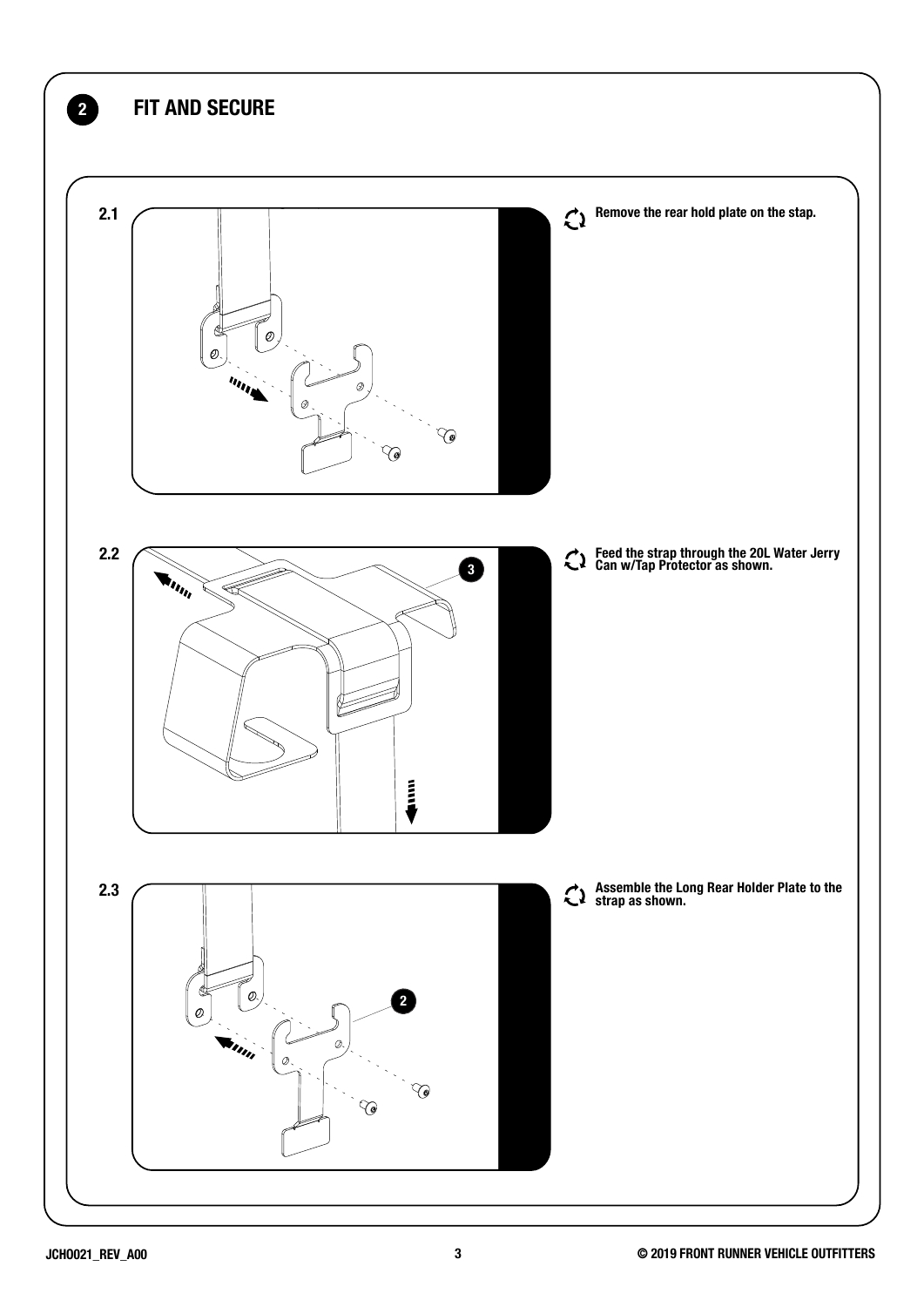![](_page_2_Figure_0.jpeg)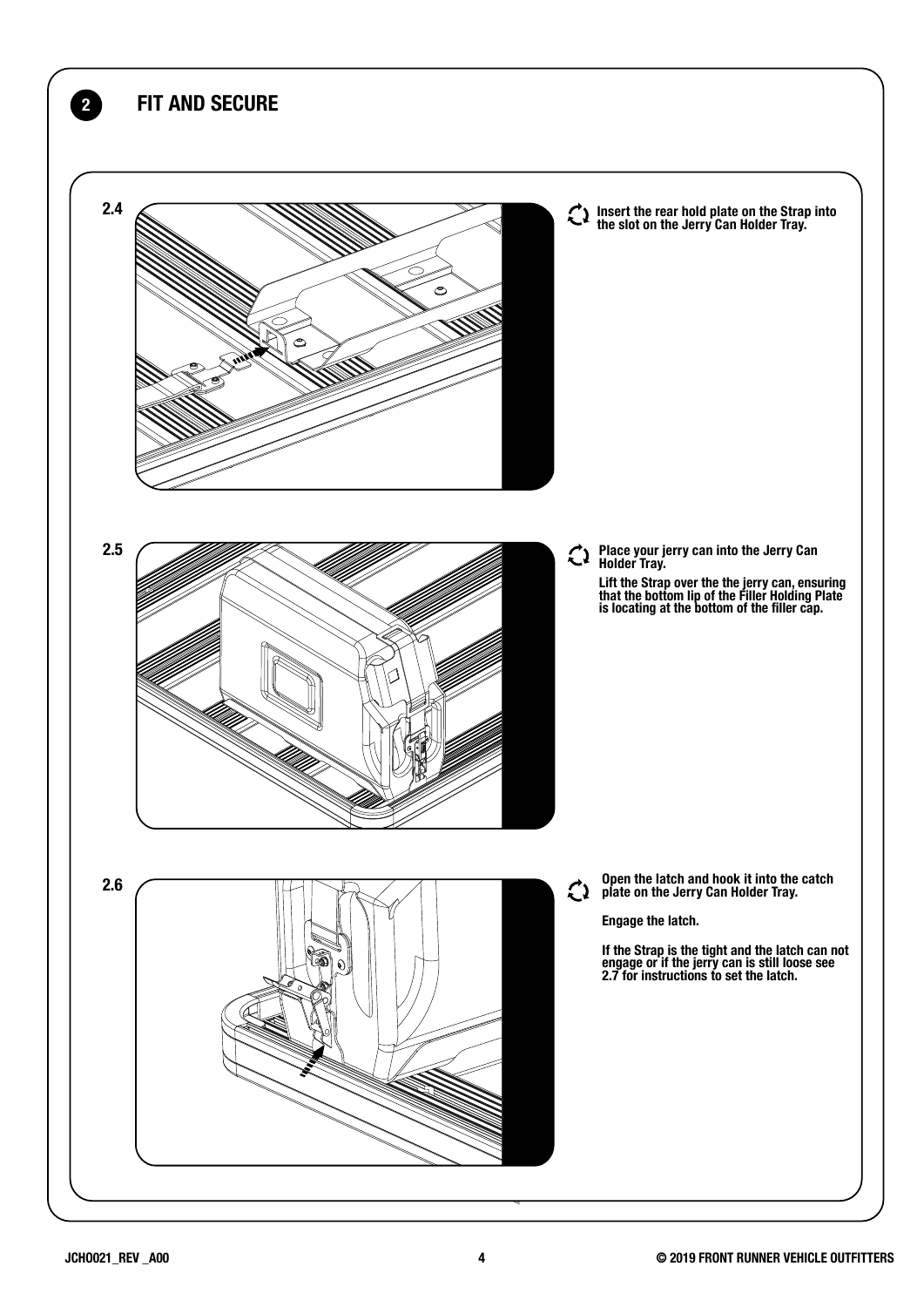![](_page_3_Figure_0.jpeg)